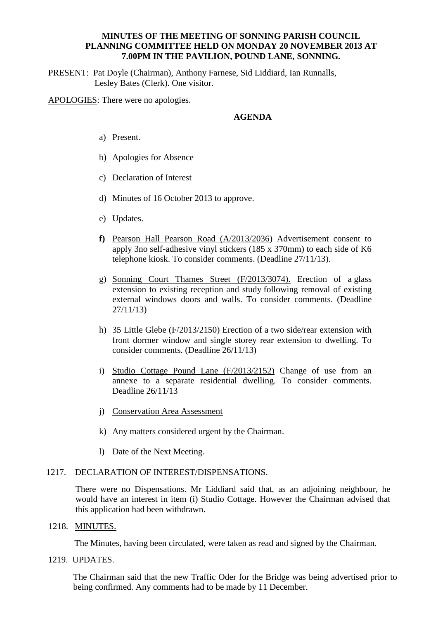### **MINUTES OF THE MEETING OF SONNING PARISH COUNCIL PLANNING COMMITTEE HELD ON MONDAY 20 NOVEMBER 2013 AT 7.00PM IN THE PAVILION, POUND LANE, SONNING.**

PRESENT: Pat Doyle (Chairman), Anthony Farnese, Sid Liddiard, Ian Runnalls, Lesley Bates (Clerk). One visitor.

APOLOGIES: There were no apologies.

### **AGENDA**

- a) Present.
- b) Apologies for Absence
- c) Declaration of Interest
- d) Minutes of 16 October 2013 to approve.
- e) Updates.
- **f)** Pearson Hall Pearson Road (A/2013/2036) Advertisement consent to apply 3no self-adhesive vinyl stickers (185 x 370mm) to each side of K6 telephone kiosk. To consider comments. (Deadline 27/11/13).
- g) Sonning Court Thames Street (F/2013/3074). Erection of a glass extension to existing reception and study following removal of existing external windows doors and walls. To consider comments. (Deadline 27/11/13)
- h) 35 Little Glebe (F/2013/2150) Erection of a two side/rear extension with front dormer window and single storey rear extension to dwelling. To consider comments. (Deadline 26/11/13)
- i) Studio Cottage Pound Lane (F/2013/2152) Change of use from an annexe to a separate residential dwelling. To consider comments. Deadline 26/11/13
- j) Conservation Area Assessment
- k) Any matters considered urgent by the Chairman.
- l) Date of the Next Meeting.

#### 1217. DECLARATION OF INTEREST/DISPENSATIONS.

There were no Dispensations. Mr Liddiard said that, as an adjoining neighbour, he would have an interest in item (i) Studio Cottage. However the Chairman advised that this application had been withdrawn.

#### 1218. MINUTES.

The Minutes, having been circulated, were taken as read and signed by the Chairman.

1219. UPDATES.

The Chairman said that the new Traffic Oder for the Bridge was being advertised prior to being confirmed. Any comments had to be made by 11 December.